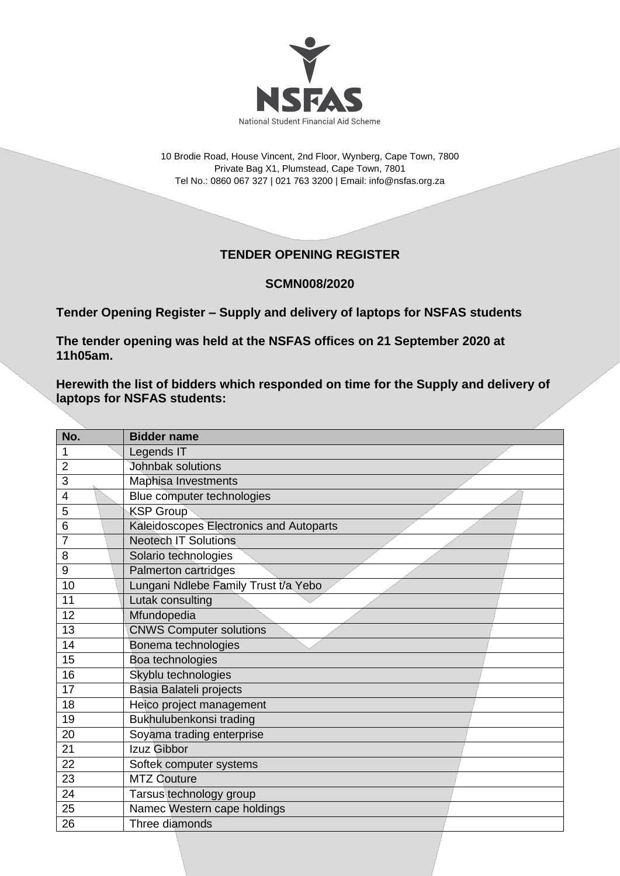

10 Brodie Road, House Vincent, 2nd Floor, Wynberg, Cape Town, 7800 Private Bag X1, Plumstead, Cape Town, 7801 Tel No.: 0860 067 327 | 021 763 3200 | Email[: info@nsfas.org.za](mailto:info@nsfas.org.za)

## **TENDER OPENING REGISTER**

## **SCMN008/2020**

**Tender Opening Register – Supply and delivery of laptops for NSFAS students**

**The tender opening was held at the NSFAS offices on 21 September 2020 at 11h05am.**

**Herewith the list of bidders which responded on time for the Supply and delivery of laptops for NSFAS students:**

| No.            | <b>Bidder name</b>                      |
|----------------|-----------------------------------------|
| 1              | Legends IT                              |
| $\overline{2}$ | Johnbak solutions                       |
| 3              | Maphisa Investments                     |
| 4              | Blue computer technologies              |
| 5              | <b>KSP Group</b>                        |
| 6              | Kaleidoscopes Electronics and Autoparts |
| 7              | <b>Neotech IT Solutions</b>             |
| 8              | Solario technologies                    |
| 9              | Palmerton cartridges                    |
| 10             | Lungani Ndlebe Family Trust t/a Yebo    |
| 11             | Lutak consulting                        |
| 12             | Mfundopedia                             |
| 13             | <b>CNWS Computer solutions</b>          |
| 14             | Bonema technologies                     |
| 15             | Boa technologies                        |
| 16             | Skyblu technologies                     |
| 17             | Basia Balateli projects                 |
| 18             | Heico project management                |
| 19             | Bukhulubenkonsi trading                 |
| 20             | Soyama trading enterprise               |
| 21             | Izuz Gibbor                             |
| 22             | Softek computer systems                 |
| 23             | <b>MTZ Couture</b>                      |
| 24             | Tarsus technology group                 |
| 25             | Namec Western cape holdings             |
| 26             | Three diamonds                          |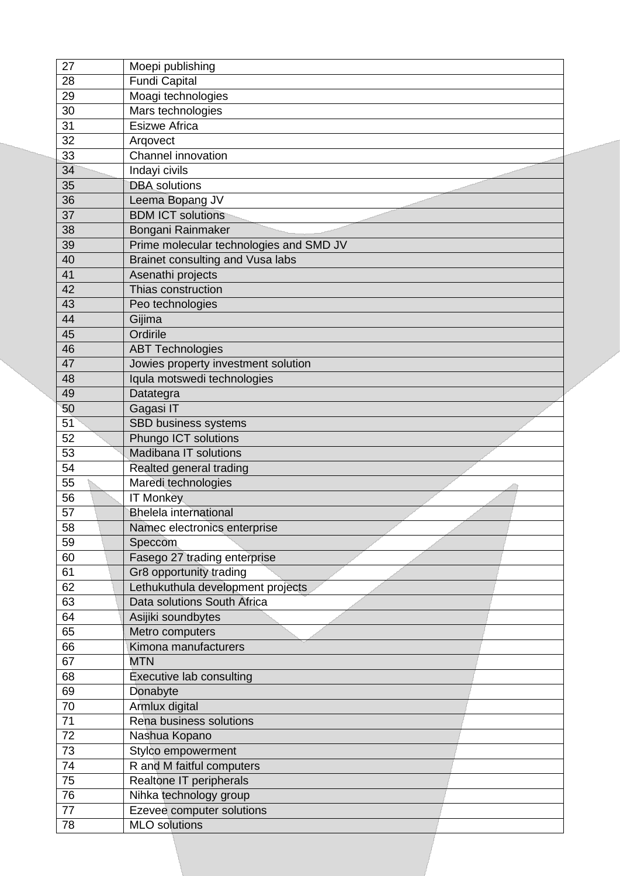| 27 | Moepi publishing                        |
|----|-----------------------------------------|
| 28 | <b>Fundi Capital</b>                    |
| 29 | Moagi technologies                      |
| 30 | Mars technologies                       |
| 31 | <b>Esizwe Africa</b>                    |
| 32 | Argovect                                |
| 33 | <b>Channel innovation</b>               |
| 34 | Indayi civils                           |
| 35 | <b>DBA</b> solutions                    |
| 36 | Leema Bopang JV                         |
| 37 | <b>BDM ICT solutions</b>                |
| 38 | Bongani Rainmaker                       |
| 39 | Prime molecular technologies and SMD JV |
| 40 | Brainet consulting and Vusa labs        |
| 41 | Asenathi projects                       |
| 42 | Thias construction                      |
| 43 | Peo technologies                        |
| 44 | Gijima                                  |
| 45 | Ordirile                                |
| 46 | <b>ABT Technologies</b>                 |
| 47 | Jowies property investment solution     |
| 48 | Iqula motswedi technologies             |
| 49 | Datategra                               |
| 50 | Gagasi IT                               |
| 51 | SBD business systems                    |
| 52 | Phungo ICT solutions                    |
| 53 | Madibana IT solutions                   |
| 54 | Realted general trading                 |
| 55 | Maredi technologies                     |
| 56 | <b>IT Monkey</b>                        |
| 57 | <b>Bhelela international</b>            |
| 58 | Namec electronics enterprise            |
| 59 | Speccom                                 |
| 60 | Fasego 27 trading enterprise            |
| 61 | Gr8 opportunity trading                 |
| 62 | Lethukuthula development projects       |
| 63 | Data solutions South Africa             |
| 64 | Asijiki soundbytes                      |
| 65 | Metro computers                         |
| 66 | Kimona manufacturers                    |
| 67 | <b>MTN</b>                              |
| 68 | Executive lab consulting                |
| 69 | Donabyte                                |
| 70 | Armlux digital                          |
| 71 | Rena business solutions                 |
| 72 | Nashua Kopano                           |
| 73 | Stylco empowerment                      |
| 74 | R and M faitful computers               |
| 75 | Realtone IT peripherals                 |
| 76 | Nihka technology group                  |
| 77 | Ezevee computer solutions               |
|    |                                         |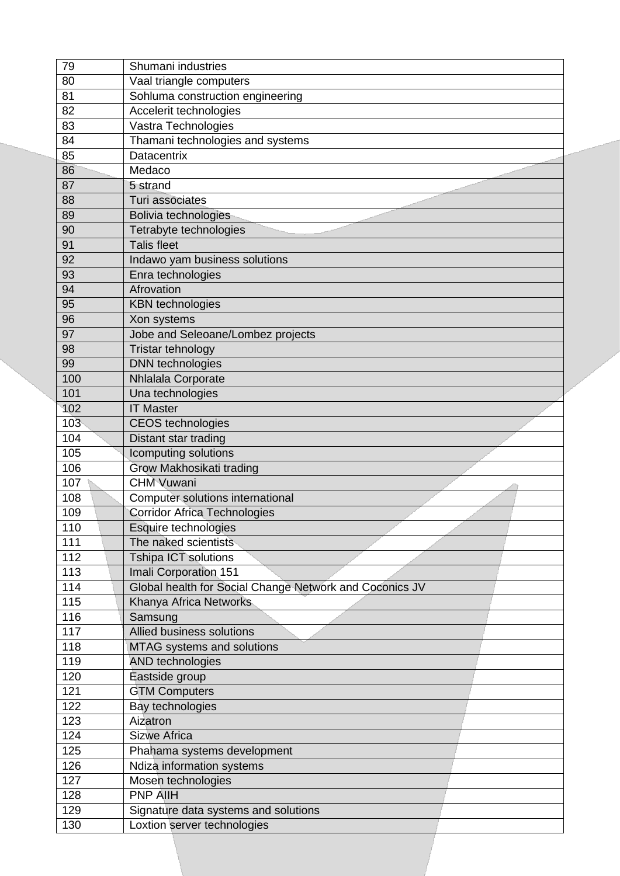| 79              | Shumani industries                                      |
|-----------------|---------------------------------------------------------|
| 80              | Vaal triangle computers                                 |
| 81              | Sohluma construction engineering                        |
| 82              | Accelerit technologies                                  |
| 83              | Vastra Technologies                                     |
| 84              | Thamani technologies and systems                        |
| 85              | <b>Datacentrix</b>                                      |
| 86              | Medaco                                                  |
| 87              | 5 strand                                                |
| 88              | Turi associates                                         |
| 89              | Bolivia technologies                                    |
| 90              | Tetrabyte technologies                                  |
| 91              | <b>Talis fleet</b>                                      |
| 92              | Indawo yam business solutions                           |
| 93              | Enra technologies                                       |
| 94              | Afrovation                                              |
| 95              | <b>KBN</b> technologies                                 |
| 96              | Xon systems                                             |
| 97              | Jobe and Seleoane/Lombez projects                       |
| 98              | Tristar tehnology                                       |
| 99              | <b>DNN</b> technologies                                 |
| 100             | Nhlalala Corporate                                      |
| 101             | Una technologies                                        |
| 102             | <b>IT Master</b>                                        |
| 10 <sub>3</sub> | <b>CEOS</b> technologies                                |
| 104             | Distant star trading                                    |
| 105             | Icomputing solutions                                    |
| 106             | Grow Makhosikati trading                                |
| 107             | <b>CHM Vuwani</b>                                       |
| 108             | Computer solutions international                        |
| 109             | <b>Corridor Africa Technologies</b>                     |
| 110             | Esquire technologies                                    |
| 111             | The naked scientists                                    |
| 112             | <b>Tshipa ICT solutions</b>                             |
| 113             | Imali Corporation 151                                   |
| 114             | Global health for Social Change Network and Coconics JV |
| 115             | Khanya Africa Networks                                  |
| 116             | Samsung                                                 |
| 117             | Allied business solutions                               |
| 118             | MTAG systems and solutions                              |
| 119             | <b>AND technologies</b>                                 |
| 120             | Eastside group                                          |
| 121             | <b>GTM Computers</b>                                    |
| 122             | Bay technologies                                        |
| 123             | Aizatron                                                |
| 124             | <b>Sizwe Africa</b>                                     |
| 125             | Phahama systems development                             |
| 126             | Ndiza information systems                               |
| 127             | Mosen technologies                                      |
| 128             | <b>PNP AIIH</b>                                         |
| 129             | Signature data systems and solutions                    |
| 130             | Loxtion server technologies                             |